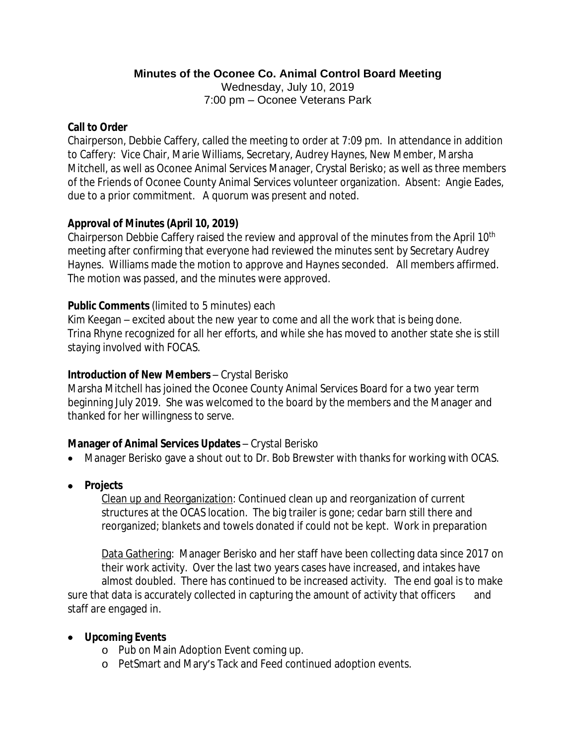# **Minutes of the Oconee Co. Animal Control Board Meeting**

Wednesday, July 10, 2019 7:00 pm – Oconee Veterans Park

### **Call to Order**

Chairperson, Debbie Caffery, called the meeting to order at 7:09 pm. In attendance in addition to Caffery: Vice Chair, Marie Williams, Secretary, Audrey Haynes, New Member, Marsha Mitchell, as well as Oconee Animal Services Manager, Crystal Berisko; as well as three members of the Friends of Oconee County Animal Services volunteer organization. Absent: Angie Eades, due to a prior commitment. A quorum was present and noted.

# **Approval of Minutes (April 10, 2019)**

Chairperson Debbie Caffery raised the review and approval of the minutes from the April 10th meeting after confirming that everyone had reviewed the minutes sent by Secretary Audrey Haynes. Williams made the motion to approve and Haynes seconded. All members affirmed. The motion was passed, and the minutes were approved.

## **Public Comments** (limited to 5 minutes) each

Kim Keegan – excited about the new year to come and all the work that is being done. Trina Rhyne recognized for all her efforts, and while she has moved to another state she is still staying involved with FOCAS.

## **Introduction of New Members** – Crystal Berisko

Marsha Mitchell has joined the Oconee County Animal Services Board for a two year term beginning July 2019. She was welcomed to the board by the members and the Manager and thanked for her willingness to serve.

## **Manager of Animal Services Updates** – Crystal Berisko

- Manager Berisko gave a shout out to Dr. Bob Brewster with thanks for working with OCAS.
- **Projects**

Clean up and Reorganization: Continued clean up and reorganization of current structures at the OCAS location. The big trailer is gone; cedar barn still there and reorganized; blankets and towels donated if could not be kept. Work in preparation

Data Gathering: Manager Berisko and her staff have been collecting data since 2017 on their work activity. Over the last two years cases have increased, and intakes have almost doubled. There has continued to be increased activity. The end goal is to make sure that data is accurately collected in capturing the amount of activity that officers and staff are engaged in.

# **Upcoming Events**

- o Pub on Main Adoption Event coming up.
- o PetSmart and Mary's Tack and Feed continued adoption events.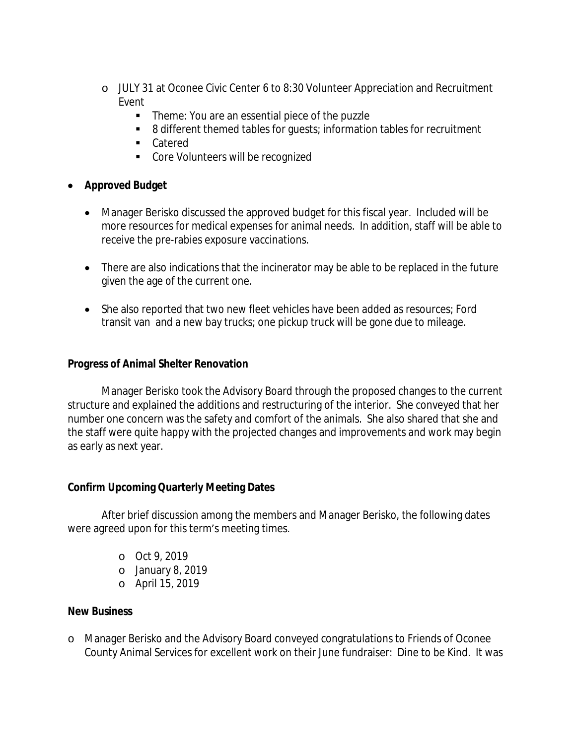- o JULY 31 at Oconee Civic Center 6 to 8:30 Volunteer Appreciation and Recruitment Event
	- Theme: You are an essential piece of the puzzle
	- 8 different themed tables for quests; information tables for recruitment
	- Catered
	- **Core Volunteers will be recognized**

# **Approved Budget**

- Manager Berisko discussed the approved budget for this fiscal year. Included will be more resources for medical expenses for animal needs. In addition, staff will be able to receive the pre-rabies exposure vaccinations.
- There are also indications that the incinerator may be able to be replaced in the future given the age of the current one.
- She also reported that two new fleet vehicles have been added as resources; Ford transit van and a new bay trucks; one pickup truck will be gone due to mileage.

### **Progress of Animal Shelter Renovation**

Manager Berisko took the Advisory Board through the proposed changes to the current structure and explained the additions and restructuring of the interior. She conveyed that her number one concern was the safety and comfort of the animals. She also shared that she and the staff were quite happy with the projected changes and improvements and work may begin as early as next year.

## **Confirm Upcoming Quarterly Meeting Dates**

After brief discussion among the members and Manager Berisko, the following dates were agreed upon for this term's meeting times.

- o Oct 9, 2019
- o January 8, 2019
- o April 15, 2019

#### **New Business**

o Manager Berisko and the Advisory Board conveyed congratulations to Friends of Oconee County Animal Services for excellent work on their June fundraiser: Dine to be Kind. It was